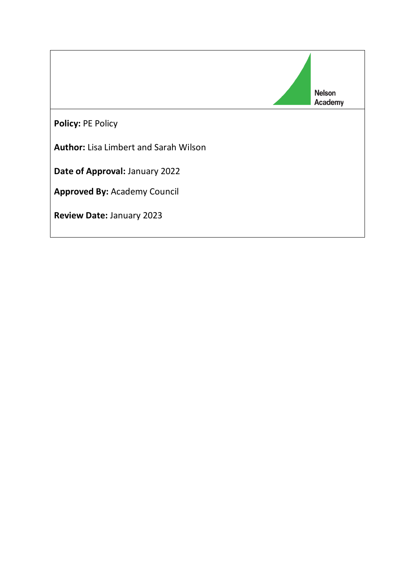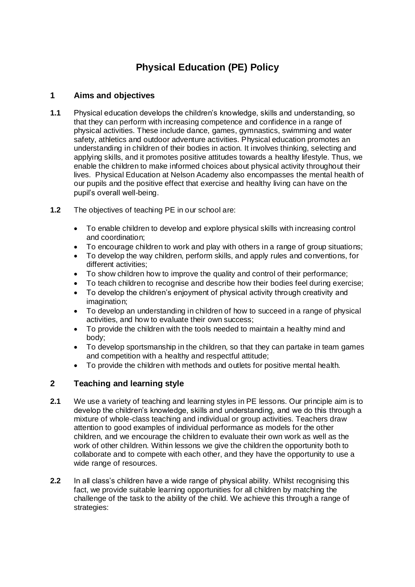# **Physical Education (PE) Policy**

## **1 Aims and objectives**

- **1.1** Physical education develops the children's knowledge, skills and understanding, so that they can perform with increasing competence and confidence in a range of physical activities. These include dance, games, gymnastics, swimming and water safety, athletics and outdoor adventure activities. Physical education promotes an understanding in children of their bodies in action. It involves thinking, selecting and applying skills, and it promotes positive attitudes towards a healthy lifestyle. Thus, we enable the children to make informed choices about physical activity throughout their lives. Physical Education at Nelson Academy also encompasses the mental health of our pupils and the positive effect that exercise and healthy living can have on the pupil's overall well-being.
- **1.2** The objectives of teaching PE in our school are:
	- To enable children to develop and explore physical skills with increasing control and coordination;
	- To encourage children to work and play with others in a range of group situations;
	- To develop the way children, perform skills, and apply rules and conventions, for different activities;
	- To show children how to improve the quality and control of their performance;
	- To teach children to recognise and describe how their bodies feel during exercise;
	- To develop the children's enjoyment of physical activity through creativity and imagination;
	- To develop an understanding in children of how to succeed in a range of physical activities, and how to evaluate their own success;
	- To provide the children with the tools needed to maintain a healthy mind and body;
	- To develop sportsmanship in the children, so that they can partake in team games and competition with a healthy and respectful attitude;
	- To provide the children with methods and outlets for positive mental health.

# **2 Teaching and learning style**

- **2.1** We use a variety of teaching and learning styles in PE lessons. Our principle aim is to develop the children's knowledge, skills and understanding, and we do this through a mixture of whole-class teaching and individual or group activities. Teachers draw attention to good examples of individual performance as models for the other children, and we encourage the children to evaluate their own work as well as the work of other children. Within lessons we give the children the opportunity both to collaborate and to compete with each other, and they have the opportunity to use a wide range of resources.
- **2.2** In all class's children have a wide range of physical ability. Whilst recognising this fact, we provide suitable learning opportunities for all children by matching the challenge of the task to the ability of the child. We achieve this through a range of strategies: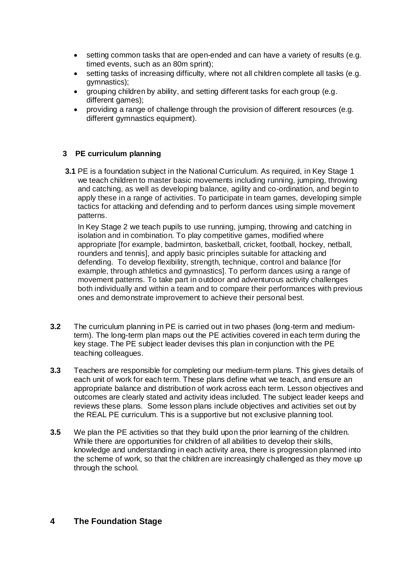- setting common tasks that are open-ended and can have a variety of results (e.g. timed events, such as an 80m sprint);
- setting tasks of increasing difficulty, where not all children complete all tasks (e.g. gymnastics);
- grouping children by ability, and setting different tasks for each group (e.g. different games);
- providing a range of challenge through the provision of different resources (e.g. different gymnastics equipment).

#### **3 PE curriculum planning**

**3.1** PE is a foundation subject in the National Curriculum. As required, in Key Stage 1 we teach children to master basic movements including running, jumping, throwing and catching, as well as developing balance, agility and co-ordination, and begin to apply these in a range of activities. To participate in team games, developing simple tactics for attacking and defending and to perform dances using simple movement patterns.

In Key Stage 2 we teach pupils to use running, jumping, throwing and catching in isolation and in combination. To play competitive games, modified where appropriate [for example, badminton, basketball, cricket, football, hockey, netball, rounders and tennis], and apply basic principles suitable for attacking and defending. To develop flexibility, strength, technique, control and balance [for example, through athletics and gymnastics]. To perform dances using a range of movement patterns. To take part in outdoor and adventurous activity challenges both individually and within a team and to compare their performances with previous ones and demonstrate improvement to achieve their personal best.

- **3.2** The curriculum planning in PE is carried out in two phases (long-term and mediumterm). The long-term plan maps out the PE activities covered in each term during the key stage. The PE subject leader devises this plan in conjunction with the PE teaching colleagues.
- **3.3** Teachers are responsible for completing our medium-term plans. This gives details of each unit of work for each term. These plans define what we teach, and ensure an appropriate balance and distribution of work across each term. Lesson objectives and outcomes are clearly stated and activity ideas included. The subject leader keeps and reviews these plans. Some lesson plans include objectives and activities set out by the REAL PE curriculum. This is a supportive but not exclusive planning tool.
- **3.5** We plan the PE activities so that they build upon the prior learning of the children. While there are opportunities for children of all abilities to develop their skills. knowledge and understanding in each activity area, there is progression planned into the scheme of work, so that the children are increasingly challenged as they move up through the school.

#### **4 The Foundation Stage**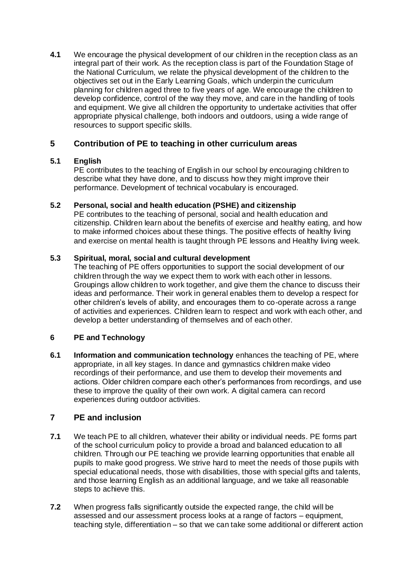**4.1** We encourage the physical development of our children in the reception class as an integral part of their work. As the reception class is part of the Foundation Stage of the National Curriculum, we relate the physical development of the children to the objectives set out in the Early Learning Goals, which underpin the curriculum planning for children aged three to five years of age. We encourage the children to develop confidence, control of the way they move, and care in the handling of tools and equipment. We give all children the opportunity to undertake activities that offer appropriate physical challenge, both indoors and outdoors, using a wide range of resources to support specific skills.

# **5 Contribution of PE to teaching in other curriculum areas**

## **5.1 English**

PE contributes to the teaching of English in our school by encouraging children to describe what they have done, and to discuss how they might improve their performance. Development of technical vocabulary is encouraged.

## **5.2 Personal, social and health education (PSHE) and citizenship**

PE contributes to the teaching of personal, social and health education and citizenship. Children learn about the benefits of exercise and healthy eating, and how to make informed choices about these things. The positive effects of healthy living and exercise on mental health is taught through PE lessons and Healthy living week.

#### **5.3 Spiritual, moral, social and cultural development**

The teaching of PE offers opportunities to support the social development of our children through the way we expect them to work with each other in lessons. Groupings allow children to work together, and give them the chance to discuss their ideas and performance. Their work in general enables them to develop a respect for other children's levels of ability, and encourages them to co-operate across a range of activities and experiences. Children learn to respect and work with each other, and develop a better understanding of themselves and of each other.

## **6 PE and Technology**

**6.1 Information and communication technology** enhances the teaching of PE, where appropriate, in all key stages. In dance and gymnastics children make video recordings of their performance, and use them to develop their movements and actions. Older children compare each other's performances from recordings, and use these to improve the quality of their own work. A digital camera can record experiences during outdoor activities.

## **7 PE and inclusion**

- **7.1** We teach PE to all children, whatever their ability or individual needs. PE forms part of the school curriculum policy to provide a broad and balanced education to all children. Through our PE teaching we provide learning opportunities that enable all pupils to make good progress. We strive hard to meet the needs of those pupils with special educational needs, those with disabilities, those with special gifts and talents, and those learning English as an additional language, and we take all reasonable steps to achieve this.
- **7.2** When progress falls significantly outside the expected range, the child will be assessed and our assessment process looks at a range of factors – equipment, teaching style, differentiation – so that we can take some additional or different action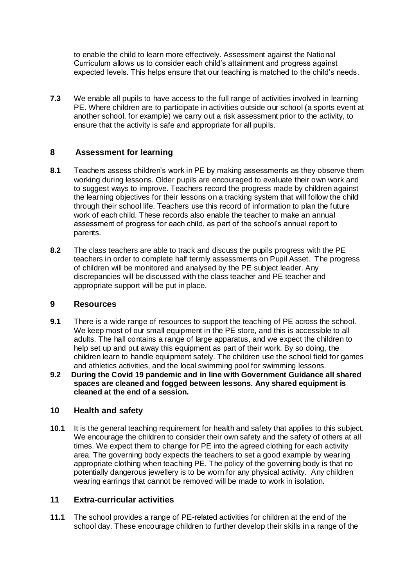to enable the child to learn more effectively. Assessment against the National Curriculum allows us to consider each child's attainment and progress against expected levels. This helps ensure that our teaching is matched to the child's needs.

**7.3** We enable all pupils to have access to the full range of activities involved in learning PE. Where children are to participate in activities outside our school (a sports event at another school, for example) we carry out a risk assessment prior to the activity, to ensure that the activity is safe and appropriate for all pupils.

## **8 Assessment for learning**

- **8.1** Teachers assess children's work in PE by making assessments as they observe them working during lessons. Older pupils are encouraged to evaluate their own work and to suggest ways to improve. Teachers record the progress made by children against the learning objectives for their lessons on a tracking system that will follow the child through their school life. Teachers use this record of information to plan the future work of each child. These records also enable the teacher to make an annual assessment of progress for each child, as part of the school's annual report to parents.
- **8.2** The class teachers are able to track and discuss the pupils progress with the PE teachers in order to complete half termly assessments on Pupil Asset. The progress of children will be monitored and analysed by the PE subject leader. Any discrepancies will be discussed with the class teacher and PE teacher and appropriate support will be put in place.

## **9 Resources**

- **9.1** There is a wide range of resources to support the teaching of PE across the school. We keep most of our small equipment in the PE store, and this is accessible to all adults. The hall contains a range of large apparatus, and we expect the children to help set up and put away this equipment as part of their work. By so doing, the children learn to handle equipment safely. The children use the school field for games and athletics activities, and the local swimming pool for swimming lessons.
- **9.2 During the Covid 19 pandemic and in line with Government Guidance all shared spaces are cleaned and fogged between lessons. Any shared equipment is cleaned at the end of a session.**

## **10 Health and safety**

**10.1** It is the general teaching requirement for health and safety that applies to this subject. We encourage the children to consider their own safety and the safety of others at all times. We expect them to change for PE into the agreed clothing for each activity area. The governing body expects the teachers to set a good example by wearing appropriate clothing when teaching PE. The policy of the governing body is that no potentially dangerous jewellery is to be worn for any physical activity. Any children wearing earrings that cannot be removed will be made to work in isolation.

## **11 Extra-curricular activities**

**11.1** The school provides a range of PE-related activities for children at the end of the school day. These encourage children to further develop their skills in a range of the